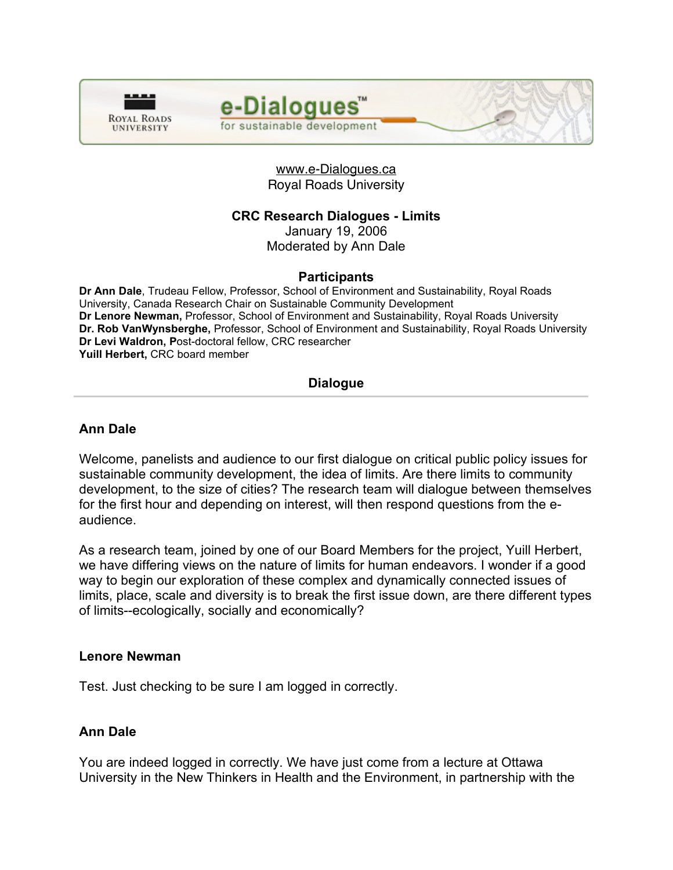



## www.e-Dialogues.ca Royal Roads University

# **CRC Research Dialogues - Limits**

January 19, 2006 Moderated by Ann Dale

**Participants Dr Ann Dale**, Trudeau Fellow, Professor, School of Environment and Sustainability, Royal Roads University, Canada Research Chair on Sustainable Community Development **Dr Lenore Newman,** Professor, School of Environment and Sustainability, Royal Roads University **Dr. Rob VanWynsberghe,** Professor, School of Environment and Sustainability, Royal Roads University **Dr Levi Waldron, P**ost-doctoral fellow, CRC researcher **Yuill Herbert,** CRC board member

# **Dialogue**

# **Ann Dale**

Welcome, panelists and audience to our first dialogue on critical public policy issues for sustainable community development, the idea of limits. Are there limits to community development, to the size of cities? The research team will dialogue between themselves for the first hour and depending on interest, will then respond questions from the eaudience.

As a research team, joined by one of our Board Members for the project, Yuill Herbert, we have differing views on the nature of limits for human endeavors. I wonder if a good way to begin our exploration of these complex and dynamically connected issues of limits, place, scale and diversity is to break the first issue down, are there different types of limits--ecologically, socially and economically?

#### **Lenore Newman**

Test. Just checking to be sure I am logged in correctly.

## **Ann Dale**

You are indeed logged in correctly. We have just come from a lecture at Ottawa University in the New Thinkers in Health and the Environment, in partnership with the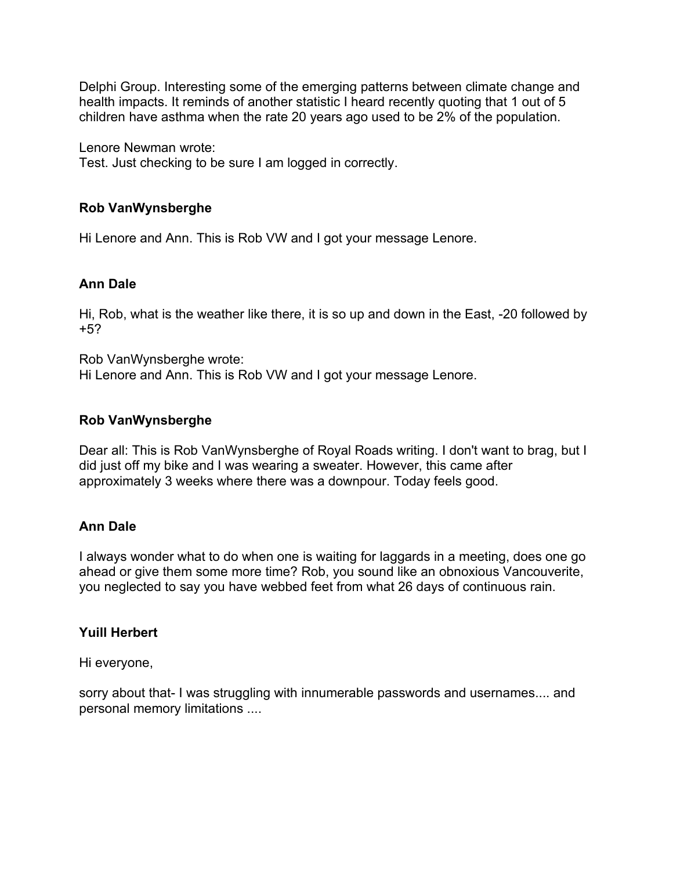Delphi Group. Interesting some of the emerging patterns between climate change and health impacts. It reminds of another statistic I heard recently quoting that 1 out of 5 children have asthma when the rate 20 years ago used to be 2% of the population.

Lenore Newman wrote:

Test. Just checking to be sure I am logged in correctly.

# **Rob VanWynsberghe**

Hi Lenore and Ann. This is Rob VW and I got your message Lenore.

## **Ann Dale**

Hi, Rob, what is the weather like there, it is so up and down in the East, -20 followed by +5?

Rob VanWynsberghe wrote: Hi Lenore and Ann. This is Rob VW and I got your message Lenore.

## **Rob VanWynsberghe**

Dear all: This is Rob VanWynsberghe of Royal Roads writing. I don't want to brag, but I did just off my bike and I was wearing a sweater. However, this came after approximately 3 weeks where there was a downpour. Today feels good.

## **Ann Dale**

I always wonder what to do when one is waiting for laggards in a meeting, does one go ahead or give them some more time? Rob, you sound like an obnoxious Vancouverite, you neglected to say you have webbed feet from what 26 days of continuous rain.

## **Yuill Herbert**

Hi everyone,

sorry about that- I was struggling with innumerable passwords and usernames.... and personal memory limitations ....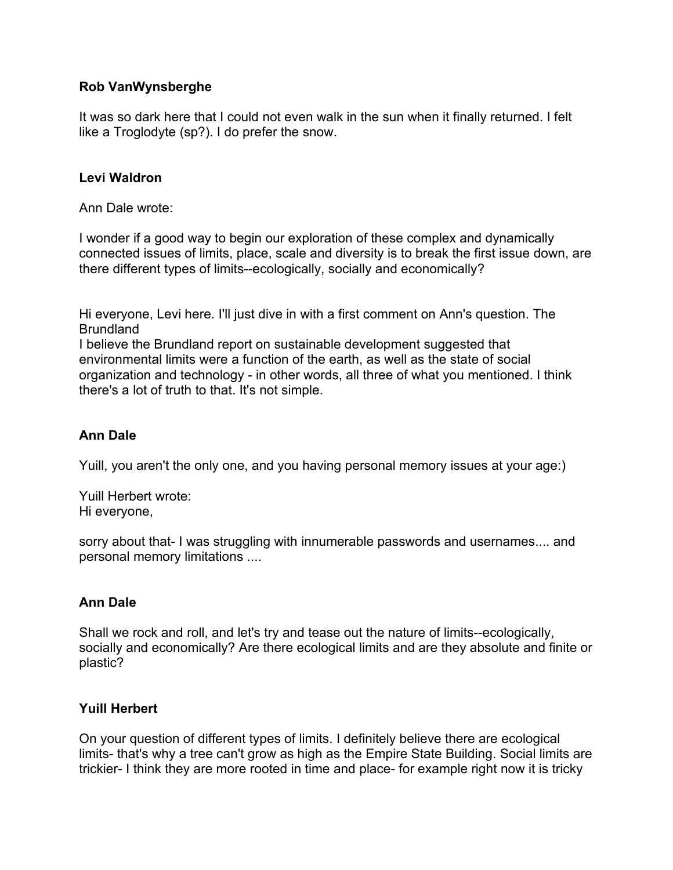# **Rob VanWynsberghe**

It was so dark here that I could not even walk in the sun when it finally returned. I felt like a Troglodyte (sp?). I do prefer the snow.

## **Levi Waldron**

Ann Dale wrote:

I wonder if a good way to begin our exploration of these complex and dynamically connected issues of limits, place, scale and diversity is to break the first issue down, are there different types of limits--ecologically, socially and economically?

Hi everyone, Levi here. I'll just dive in with a first comment on Ann's question. The Brundland

I believe the Brundland report on sustainable development suggested that environmental limits were a function of the earth, as well as the state of social organization and technology - in other words, all three of what you mentioned. I think there's a lot of truth to that. It's not simple.

# **Ann Dale**

Yuill, you aren't the only one, and you having personal memory issues at your age:)

Yuill Herbert wrote: Hi everyone,

sorry about that- I was struggling with innumerable passwords and usernames.... and personal memory limitations ....

# **Ann Dale**

Shall we rock and roll, and let's try and tease out the nature of limits--ecologically, socially and economically? Are there ecological limits and are they absolute and finite or plastic?

# **Yuill Herbert**

On your question of different types of limits. I definitely believe there are ecological limits- that's why a tree can't grow as high as the Empire State Building. Social limits are trickier- I think they are more rooted in time and place- for example right now it is tricky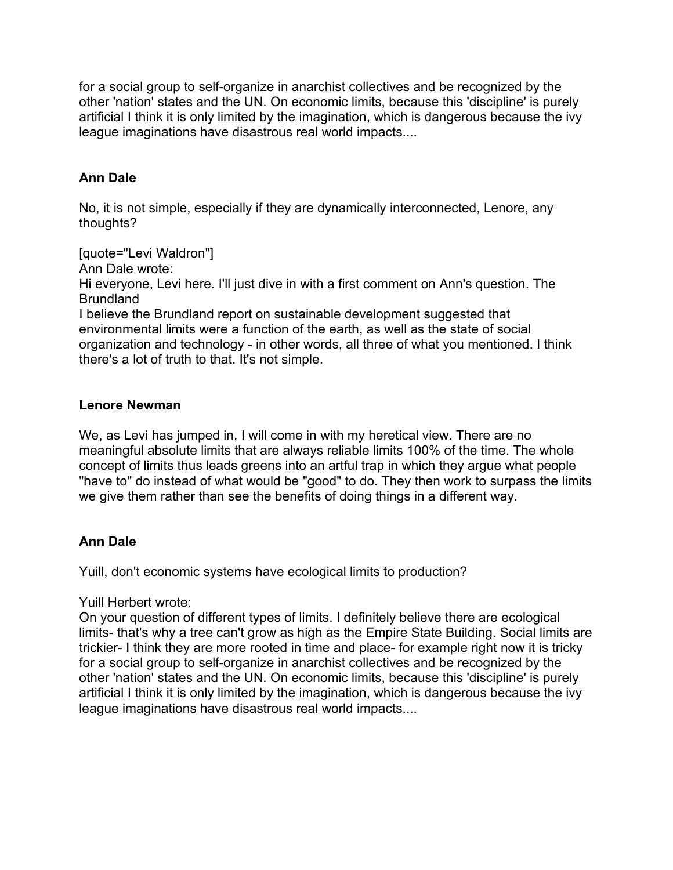for a social group to self-organize in anarchist collectives and be recognized by the other 'nation' states and the UN. On economic limits, because this 'discipline' is purely artificial I think it is only limited by the imagination, which is dangerous because the ivy league imaginations have disastrous real world impacts....

# **Ann Dale**

No, it is not simple, especially if they are dynamically interconnected, Lenore, any thoughts?

[quote="Levi Waldron"]

Ann Dale wrote:

Hi everyone, Levi here. I'll just dive in with a first comment on Ann's question. The Brundland

I believe the Brundland report on sustainable development suggested that environmental limits were a function of the earth, as well as the state of social organization and technology - in other words, all three of what you mentioned. I think there's a lot of truth to that. It's not simple.

## **Lenore Newman**

We, as Levi has jumped in, I will come in with my heretical view. There are no meaningful absolute limits that are always reliable limits 100% of the time. The whole concept of limits thus leads greens into an artful trap in which they argue what people "have to" do instead of what would be "good" to do. They then work to surpass the limits we give them rather than see the benefits of doing things in a different way.

## **Ann Dale**

Yuill, don't economic systems have ecological limits to production?

#### Yuill Herbert wrote:

On your question of different types of limits. I definitely believe there are ecological limits- that's why a tree can't grow as high as the Empire State Building. Social limits are trickier- I think they are more rooted in time and place- for example right now it is tricky for a social group to self-organize in anarchist collectives and be recognized by the other 'nation' states and the UN. On economic limits, because this 'discipline' is purely artificial I think it is only limited by the imagination, which is dangerous because the ivy league imaginations have disastrous real world impacts....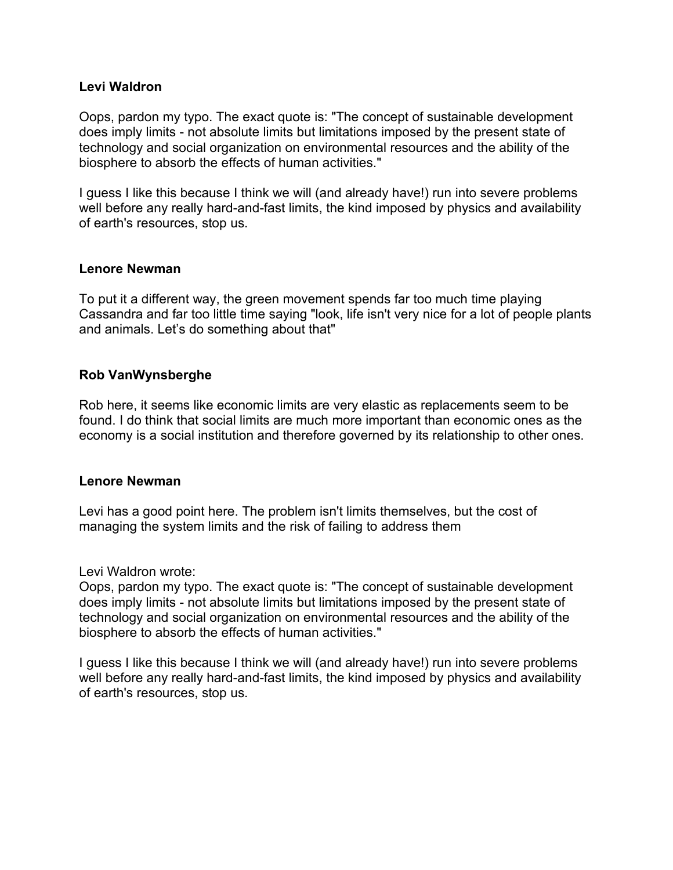#### **Levi Waldron**

Oops, pardon my typo. The exact quote is: "The concept of sustainable development does imply limits - not absolute limits but limitations imposed by the present state of technology and social organization on environmental resources and the ability of the biosphere to absorb the effects of human activities."

I guess I like this because I think we will (and already have!) run into severe problems well before any really hard-and-fast limits, the kind imposed by physics and availability of earth's resources, stop us.

#### **Lenore Newman**

To put it a different way, the green movement spends far too much time playing Cassandra and far too little time saying "look, life isn't very nice for a lot of people plants and animals. Let's do something about that"

## **Rob VanWynsberghe**

Rob here, it seems like economic limits are very elastic as replacements seem to be found. I do think that social limits are much more important than economic ones as the economy is a social institution and therefore governed by its relationship to other ones.

#### **Lenore Newman**

Levi has a good point here. The problem isn't limits themselves, but the cost of managing the system limits and the risk of failing to address them

Levi Waldron wrote:

Oops, pardon my typo. The exact quote is: "The concept of sustainable development does imply limits - not absolute limits but limitations imposed by the present state of technology and social organization on environmental resources and the ability of the biosphere to absorb the effects of human activities."

I guess I like this because I think we will (and already have!) run into severe problems well before any really hard-and-fast limits, the kind imposed by physics and availability of earth's resources, stop us.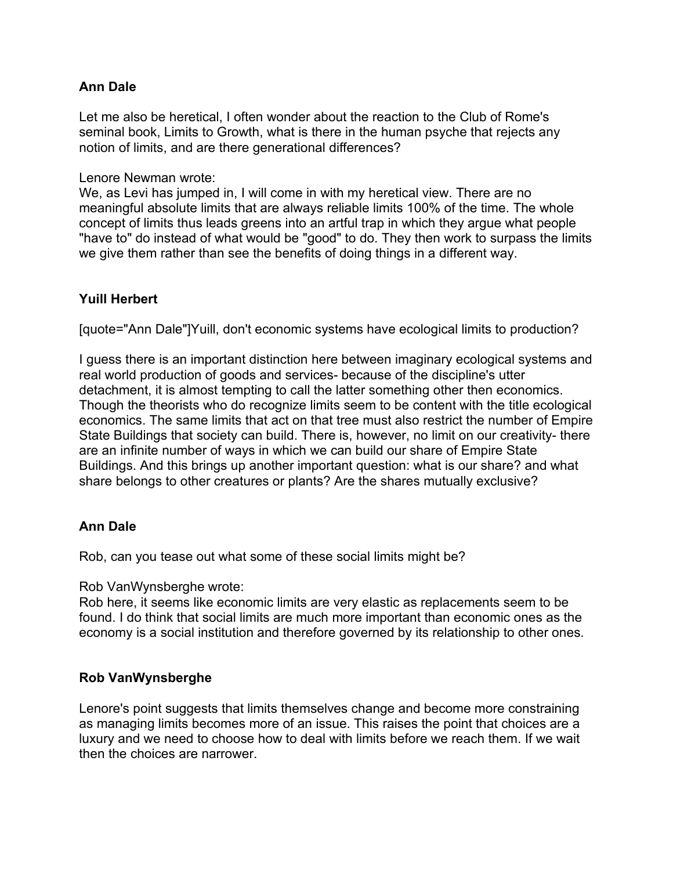Let me also be heretical, I often wonder about the reaction to the Club of Rome's seminal book, Limits to Growth, what is there in the human psyche that rejects any notion of limits, and are there generational differences?

Lenore Newman wrote:

We, as Levi has jumped in, I will come in with my heretical view. There are no meaningful absolute limits that are always reliable limits 100% of the time. The whole concept of limits thus leads greens into an artful trap in which they argue what people "have to" do instead of what would be "good" to do. They then work to surpass the limits we give them rather than see the benefits of doing things in a different way.

# **Yuill Herbert**

[quote="Ann Dale"]Yuill, don't economic systems have ecological limits to production?

I guess there is an important distinction here between imaginary ecological systems and real world production of goods and services- because of the discipline's utter detachment, it is almost tempting to call the latter something other then economics. Though the theorists who do recognize limits seem to be content with the title ecological economics. The same limits that act on that tree must also restrict the number of Empire State Buildings that society can build. There is, however, no limit on our creativity- there are an infinite number of ways in which we can build our share of Empire State Buildings. And this brings up another important question: what is our share? and what share belongs to other creatures or plants? Are the shares mutually exclusive?

## **Ann Dale**

Rob, can you tease out what some of these social limits might be?

Rob VanWynsberghe wrote:

Rob here, it seems like economic limits are very elastic as replacements seem to be found. I do think that social limits are much more important than economic ones as the economy is a social institution and therefore governed by its relationship to other ones.

## **Rob VanWynsberghe**

Lenore's point suggests that limits themselves change and become more constraining as managing limits becomes more of an issue. This raises the point that choices are a luxury and we need to choose how to deal with limits before we reach them. If we wait then the choices are narrower.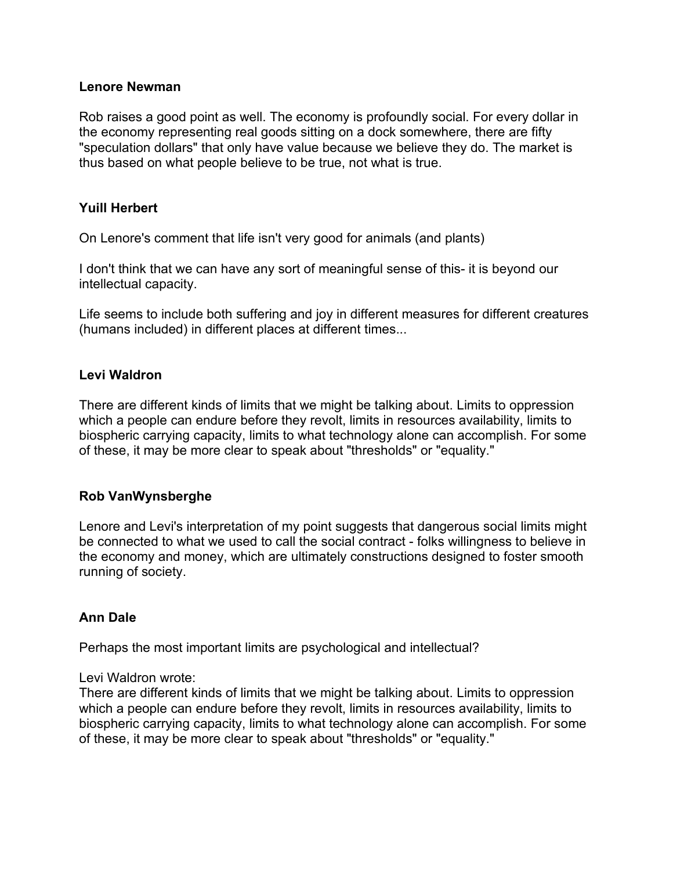#### **Lenore Newman**

Rob raises a good point as well. The economy is profoundly social. For every dollar in the economy representing real goods sitting on a dock somewhere, there are fifty "speculation dollars" that only have value because we believe they do. The market is thus based on what people believe to be true, not what is true.

## **Yuill Herbert**

On Lenore's comment that life isn't very good for animals (and plants)

I don't think that we can have any sort of meaningful sense of this- it is beyond our intellectual capacity.

Life seems to include both suffering and joy in different measures for different creatures (humans included) in different places at different times...

## **Levi Waldron**

There are different kinds of limits that we might be talking about. Limits to oppression which a people can endure before they revolt, limits in resources availability, limits to biospheric carrying capacity, limits to what technology alone can accomplish. For some of these, it may be more clear to speak about "thresholds" or "equality."

## **Rob VanWynsberghe**

Lenore and Levi's interpretation of my point suggests that dangerous social limits might be connected to what we used to call the social contract - folks willingness to believe in the economy and money, which are ultimately constructions designed to foster smooth running of society.

## **Ann Dale**

Perhaps the most important limits are psychological and intellectual?

Levi Waldron wrote:

There are different kinds of limits that we might be talking about. Limits to oppression which a people can endure before they revolt, limits in resources availability, limits to biospheric carrying capacity, limits to what technology alone can accomplish. For some of these, it may be more clear to speak about "thresholds" or "equality."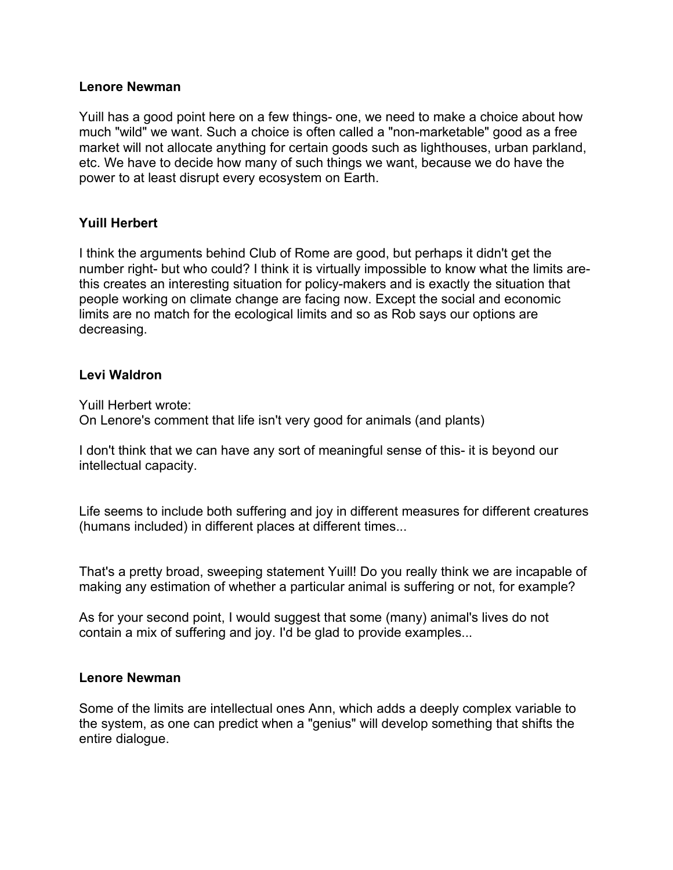#### **Lenore Newman**

Yuill has a good point here on a few things- one, we need to make a choice about how much "wild" we want. Such a choice is often called a "non-marketable" good as a free market will not allocate anything for certain goods such as lighthouses, urban parkland, etc. We have to decide how many of such things we want, because we do have the power to at least disrupt every ecosystem on Earth.

## **Yuill Herbert**

I think the arguments behind Club of Rome are good, but perhaps it didn't get the number right- but who could? I think it is virtually impossible to know what the limits arethis creates an interesting situation for policy-makers and is exactly the situation that people working on climate change are facing now. Except the social and economic limits are no match for the ecological limits and so as Rob says our options are decreasing.

#### **Levi Waldron**

Yuill Herbert wrote: On Lenore's comment that life isn't very good for animals (and plants)

I don't think that we can have any sort of meaningful sense of this- it is beyond our intellectual capacity.

Life seems to include both suffering and joy in different measures for different creatures (humans included) in different places at different times...

That's a pretty broad, sweeping statement Yuill! Do you really think we are incapable of making any estimation of whether a particular animal is suffering or not, for example?

As for your second point, I would suggest that some (many) animal's lives do not contain a mix of suffering and joy. I'd be glad to provide examples...

#### **Lenore Newman**

Some of the limits are intellectual ones Ann, which adds a deeply complex variable to the system, as one can predict when a "genius" will develop something that shifts the entire dialogue.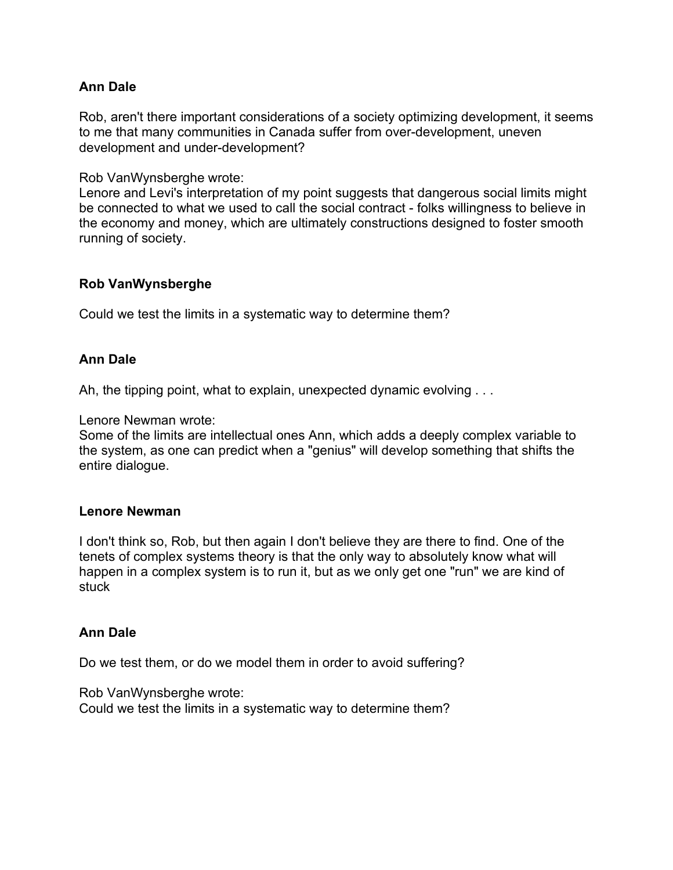Rob, aren't there important considerations of a society optimizing development, it seems to me that many communities in Canada suffer from over-development, uneven development and under-development?

Rob VanWynsberghe wrote:

Lenore and Levi's interpretation of my point suggests that dangerous social limits might be connected to what we used to call the social contract - folks willingness to believe in the economy and money, which are ultimately constructions designed to foster smooth running of society.

## **Rob VanWynsberghe**

Could we test the limits in a systematic way to determine them?

## **Ann Dale**

Ah, the tipping point, what to explain, unexpected dynamic evolving . . .

Lenore Newman wrote:

Some of the limits are intellectual ones Ann, which adds a deeply complex variable to the system, as one can predict when a "genius" will develop something that shifts the entire dialogue.

#### **Lenore Newman**

I don't think so, Rob, but then again I don't believe they are there to find. One of the tenets of complex systems theory is that the only way to absolutely know what will happen in a complex system is to run it, but as we only get one "run" we are kind of stuck

## **Ann Dale**

Do we test them, or do we model them in order to avoid suffering?

Rob VanWynsberghe wrote: Could we test the limits in a systematic way to determine them?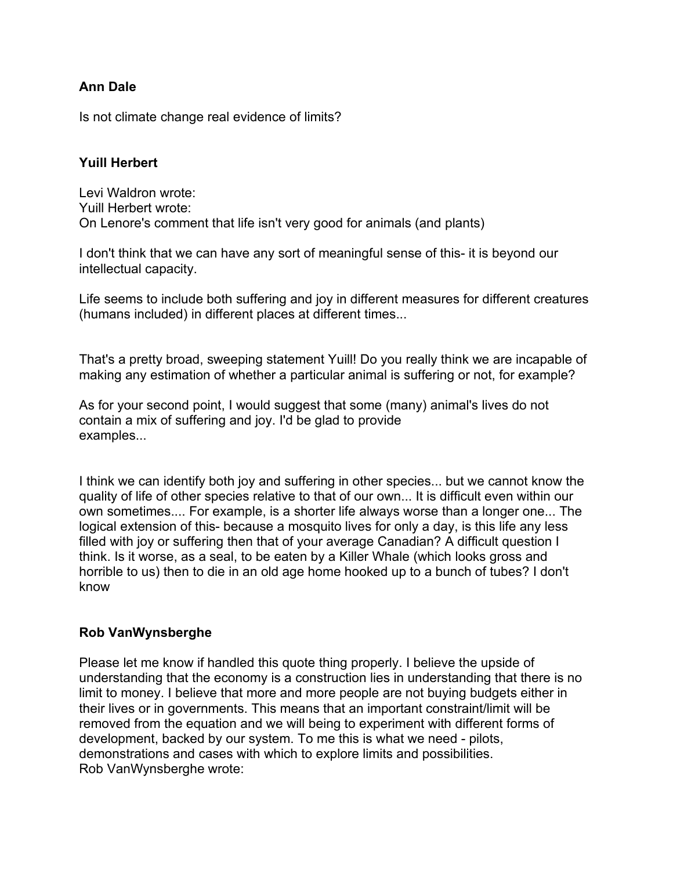Is not climate change real evidence of limits?

## **Yuill Herbert**

Levi Waldron wrote: Yuill Herbert wrote: On Lenore's comment that life isn't very good for animals (and plants)

I don't think that we can have any sort of meaningful sense of this- it is beyond our intellectual capacity.

Life seems to include both suffering and joy in different measures for different creatures (humans included) in different places at different times...

That's a pretty broad, sweeping statement Yuill! Do you really think we are incapable of making any estimation of whether a particular animal is suffering or not, for example?

As for your second point, I would suggest that some (many) animal's lives do not contain a mix of suffering and joy. I'd be glad to provide examples...

I think we can identify both joy and suffering in other species... but we cannot know the quality of life of other species relative to that of our own... It is difficult even within our own sometimes.... For example, is a shorter life always worse than a longer one... The logical extension of this- because a mosquito lives for only a day, is this life any less filled with joy or suffering then that of your average Canadian? A difficult question I think. Is it worse, as a seal, to be eaten by a Killer Whale (which looks gross and horrible to us) then to die in an old age home hooked up to a bunch of tubes? I don't know

## **Rob VanWynsberghe**

Please let me know if handled this quote thing properly. I believe the upside of understanding that the economy is a construction lies in understanding that there is no limit to money. I believe that more and more people are not buying budgets either in their lives or in governments. This means that an important constraint/limit will be removed from the equation and we will being to experiment with different forms of development, backed by our system. To me this is what we need - pilots, demonstrations and cases with which to explore limits and possibilities. Rob VanWynsberghe wrote: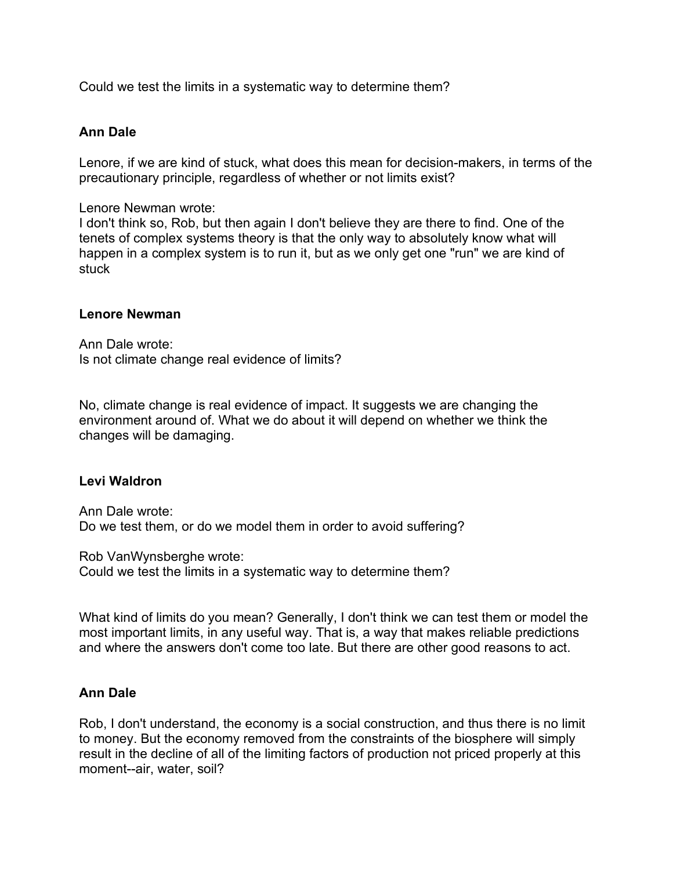Could we test the limits in a systematic way to determine them?

#### **Ann Dale**

Lenore, if we are kind of stuck, what does this mean for decision-makers, in terms of the precautionary principle, regardless of whether or not limits exist?

Lenore Newman wrote:

I don't think so, Rob, but then again I don't believe they are there to find. One of the tenets of complex systems theory is that the only way to absolutely know what will happen in a complex system is to run it, but as we only get one "run" we are kind of stuck

#### **Lenore Newman**

Ann Dale wrote: Is not climate change real evidence of limits?

No, climate change is real evidence of impact. It suggests we are changing the environment around of. What we do about it will depend on whether we think the changes will be damaging.

#### **Levi Waldron**

Ann Dale wrote: Do we test them, or do we model them in order to avoid suffering?

Rob VanWynsberghe wrote:

Could we test the limits in a systematic way to determine them?

What kind of limits do you mean? Generally, I don't think we can test them or model the most important limits, in any useful way. That is, a way that makes reliable predictions and where the answers don't come too late. But there are other good reasons to act.

#### **Ann Dale**

Rob, I don't understand, the economy is a social construction, and thus there is no limit to money. But the economy removed from the constraints of the biosphere will simply result in the decline of all of the limiting factors of production not priced properly at this moment--air, water, soil?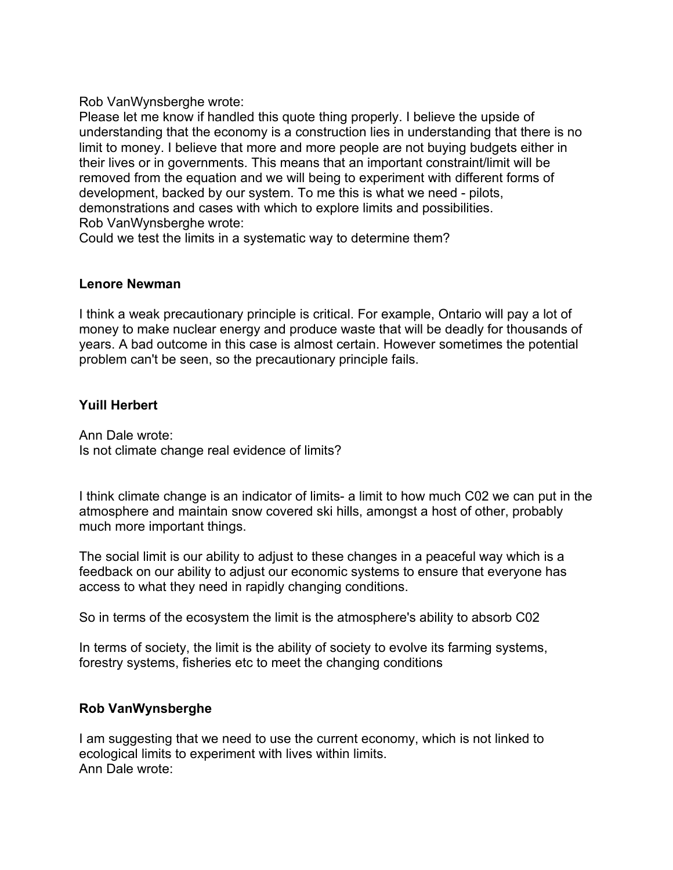Rob VanWynsberghe wrote:

Please let me know if handled this quote thing properly. I believe the upside of understanding that the economy is a construction lies in understanding that there is no limit to money. I believe that more and more people are not buying budgets either in their lives or in governments. This means that an important constraint/limit will be removed from the equation and we will being to experiment with different forms of development, backed by our system. To me this is what we need - pilots, demonstrations and cases with which to explore limits and possibilities. Rob VanWynsberghe wrote:

Could we test the limits in a systematic way to determine them?

## **Lenore Newman**

I think a weak precautionary principle is critical. For example, Ontario will pay a lot of money to make nuclear energy and produce waste that will be deadly for thousands of years. A bad outcome in this case is almost certain. However sometimes the potential problem can't be seen, so the precautionary principle fails.

## **Yuill Herbert**

Ann Dale wrote: Is not climate change real evidence of limits?

I think climate change is an indicator of limits- a limit to how much C02 we can put in the atmosphere and maintain snow covered ski hills, amongst a host of other, probably much more important things.

The social limit is our ability to adjust to these changes in a peaceful way which is a feedback on our ability to adjust our economic systems to ensure that everyone has access to what they need in rapidly changing conditions.

So in terms of the ecosystem the limit is the atmosphere's ability to absorb C02

In terms of society, the limit is the ability of society to evolve its farming systems, forestry systems, fisheries etc to meet the changing conditions

## **Rob VanWynsberghe**

I am suggesting that we need to use the current economy, which is not linked to ecological limits to experiment with lives within limits. Ann Dale wrote: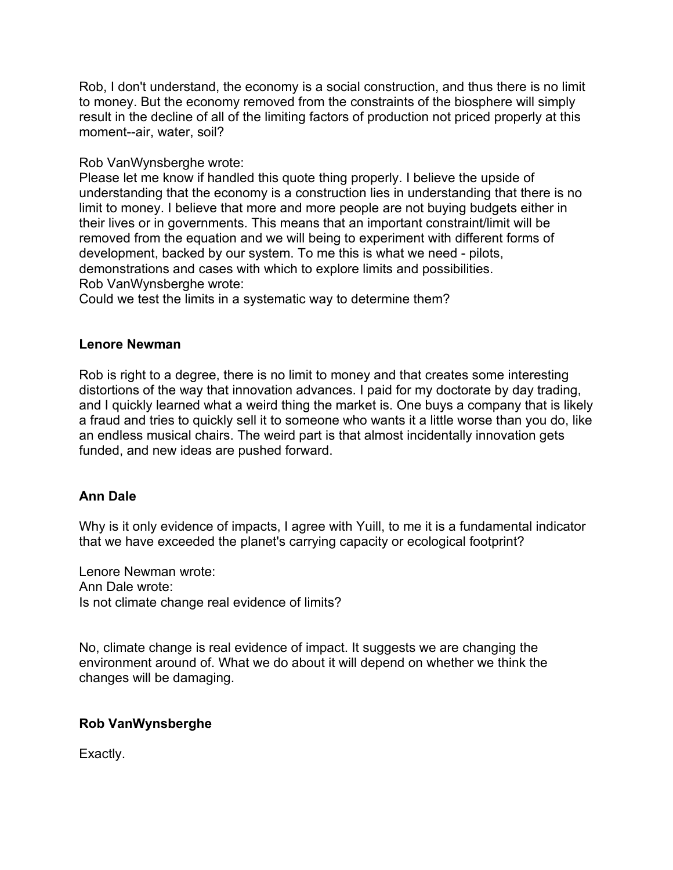Rob, I don't understand, the economy is a social construction, and thus there is no limit to money. But the economy removed from the constraints of the biosphere will simply result in the decline of all of the limiting factors of production not priced properly at this moment--air, water, soil?

## Rob VanWynsberghe wrote:

Please let me know if handled this quote thing properly. I believe the upside of understanding that the economy is a construction lies in understanding that there is no limit to money. I believe that more and more people are not buying budgets either in their lives or in governments. This means that an important constraint/limit will be removed from the equation and we will being to experiment with different forms of development, backed by our system. To me this is what we need - pilots, demonstrations and cases with which to explore limits and possibilities. Rob VanWynsberghe wrote:

Could we test the limits in a systematic way to determine them?

#### **Lenore Newman**

Rob is right to a degree, there is no limit to money and that creates some interesting distortions of the way that innovation advances. I paid for my doctorate by day trading, and I quickly learned what a weird thing the market is. One buys a company that is likely a fraud and tries to quickly sell it to someone who wants it a little worse than you do, like an endless musical chairs. The weird part is that almost incidentally innovation gets funded, and new ideas are pushed forward.

## **Ann Dale**

Why is it only evidence of impacts, I agree with Yuill, to me it is a fundamental indicator that we have exceeded the planet's carrying capacity or ecological footprint?

Lenore Newman wrote: Ann Dale wrote: Is not climate change real evidence of limits?

No, climate change is real evidence of impact. It suggests we are changing the environment around of. What we do about it will depend on whether we think the changes will be damaging.

## **Rob VanWynsberghe**

Exactly.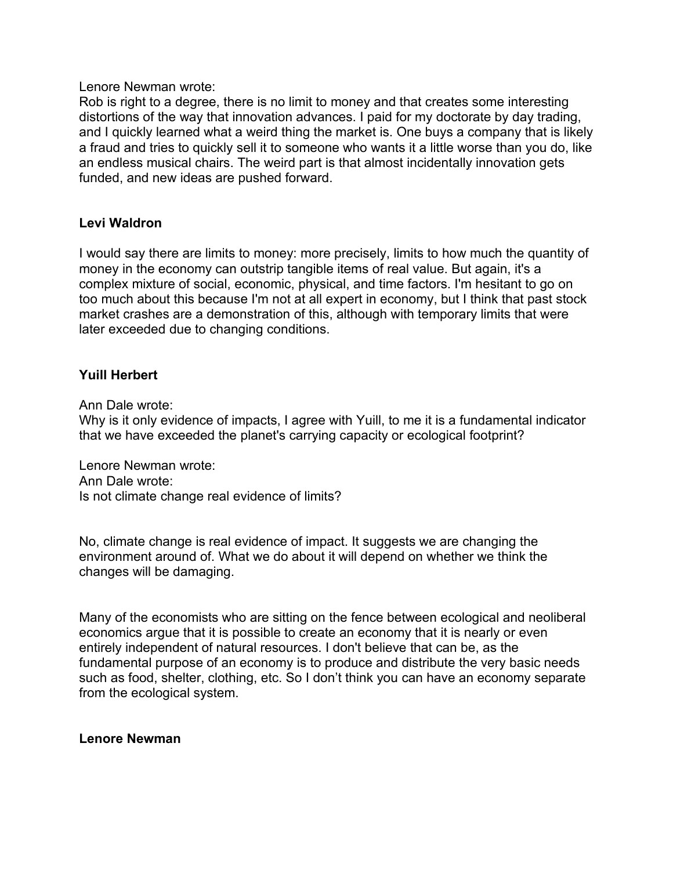Lenore Newman wrote:

Rob is right to a degree, there is no limit to money and that creates some interesting distortions of the way that innovation advances. I paid for my doctorate by day trading, and I quickly learned what a weird thing the market is. One buys a company that is likely a fraud and tries to quickly sell it to someone who wants it a little worse than you do, like an endless musical chairs. The weird part is that almost incidentally innovation gets funded, and new ideas are pushed forward.

#### **Levi Waldron**

I would say there are limits to money: more precisely, limits to how much the quantity of money in the economy can outstrip tangible items of real value. But again, it's a complex mixture of social, economic, physical, and time factors. I'm hesitant to go on too much about this because I'm not at all expert in economy, but I think that past stock market crashes are a demonstration of this, although with temporary limits that were later exceeded due to changing conditions.

## **Yuill Herbert**

Ann Dale wrote:

Why is it only evidence of impacts, I agree with Yuill, to me it is a fundamental indicator that we have exceeded the planet's carrying capacity or ecological footprint?

Lenore Newman wrote: Ann Dale wrote: Is not climate change real evidence of limits?

No, climate change is real evidence of impact. It suggests we are changing the environment around of. What we do about it will depend on whether we think the changes will be damaging.

Many of the economists who are sitting on the fence between ecological and neoliberal economics argue that it is possible to create an economy that it is nearly or even entirely independent of natural resources. I don't believe that can be, as the fundamental purpose of an economy is to produce and distribute the very basic needs such as food, shelter, clothing, etc. So I don't think you can have an economy separate from the ecological system.

#### **Lenore Newman**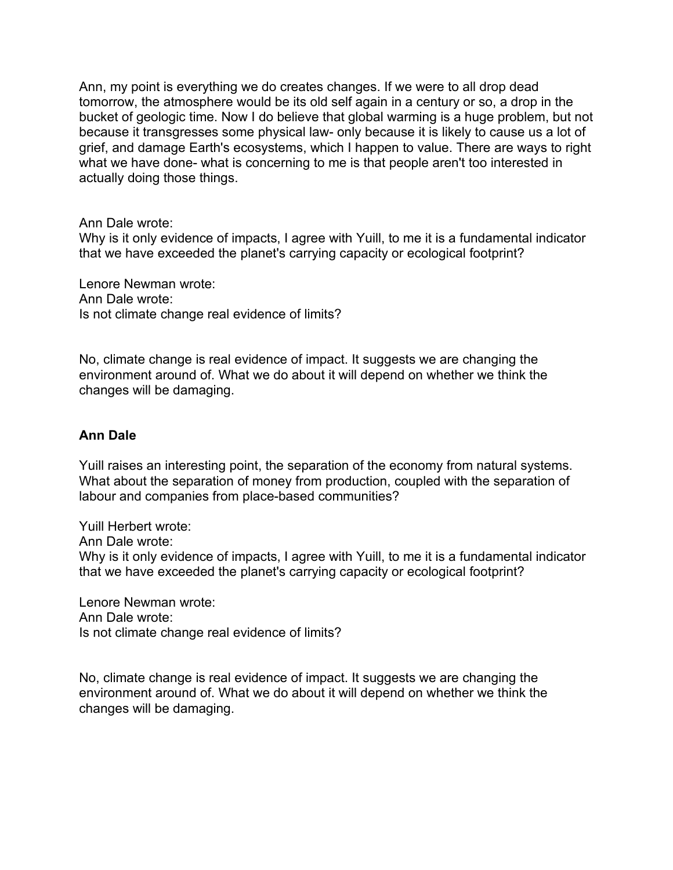Ann, my point is everything we do creates changes. If we were to all drop dead tomorrow, the atmosphere would be its old self again in a century or so, a drop in the bucket of geologic time. Now I do believe that global warming is a huge problem, but not because it transgresses some physical law- only because it is likely to cause us a lot of grief, and damage Earth's ecosystems, which I happen to value. There are ways to right what we have done- what is concerning to me is that people aren't too interested in actually doing those things.

Ann Dale wrote:

Why is it only evidence of impacts, I agree with Yuill, to me it is a fundamental indicator that we have exceeded the planet's carrying capacity or ecological footprint?

Lenore Newman wrote: Ann Dale wrote: Is not climate change real evidence of limits?

No, climate change is real evidence of impact. It suggests we are changing the environment around of. What we do about it will depend on whether we think the changes will be damaging.

## **Ann Dale**

Yuill raises an interesting point, the separation of the economy from natural systems. What about the separation of money from production, coupled with the separation of labour and companies from place-based communities?

Yuill Herbert wrote:

Ann Dale wrote:

Why is it only evidence of impacts, I agree with Yuill, to me it is a fundamental indicator that we have exceeded the planet's carrying capacity or ecological footprint?

Lenore Newman wrote: Ann Dale wrote: Is not climate change real evidence of limits?

No, climate change is real evidence of impact. It suggests we are changing the environment around of. What we do about it will depend on whether we think the changes will be damaging.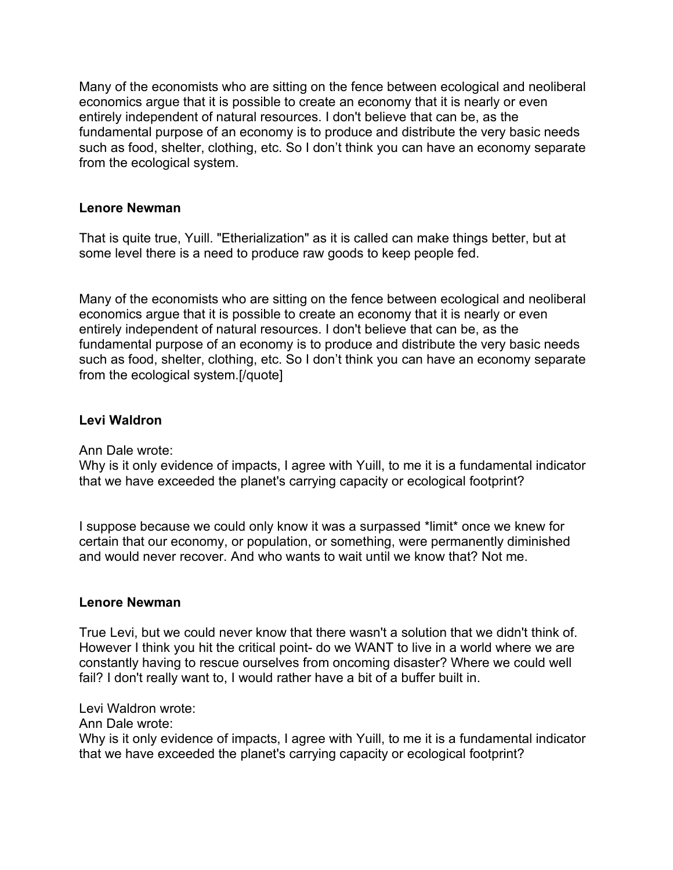Many of the economists who are sitting on the fence between ecological and neoliberal economics argue that it is possible to create an economy that it is nearly or even entirely independent of natural resources. I don't believe that can be, as the fundamental purpose of an economy is to produce and distribute the very basic needs such as food, shelter, clothing, etc. So I don't think you can have an economy separate from the ecological system.

## **Lenore Newman**

That is quite true, Yuill. "Etherialization" as it is called can make things better, but at some level there is a need to produce raw goods to keep people fed.

Many of the economists who are sitting on the fence between ecological and neoliberal economics argue that it is possible to create an economy that it is nearly or even entirely independent of natural resources. I don't believe that can be, as the fundamental purpose of an economy is to produce and distribute the very basic needs such as food, shelter, clothing, etc. So I don't think you can have an economy separate from the ecological system.[/quote]

# **Levi Waldron**

Ann Dale wrote:

Why is it only evidence of impacts, I agree with Yuill, to me it is a fundamental indicator that we have exceeded the planet's carrying capacity or ecological footprint?

I suppose because we could only know it was a surpassed \*limit\* once we knew for certain that our economy, or population, or something, were permanently diminished and would never recover. And who wants to wait until we know that? Not me.

## **Lenore Newman**

True Levi, but we could never know that there wasn't a solution that we didn't think of. However I think you hit the critical point- do we WANT to live in a world where we are constantly having to rescue ourselves from oncoming disaster? Where we could well fail? I don't really want to, I would rather have a bit of a buffer built in.

Levi Waldron wrote:

Ann Dale wrote:

Why is it only evidence of impacts, I agree with Yuill, to me it is a fundamental indicator that we have exceeded the planet's carrying capacity or ecological footprint?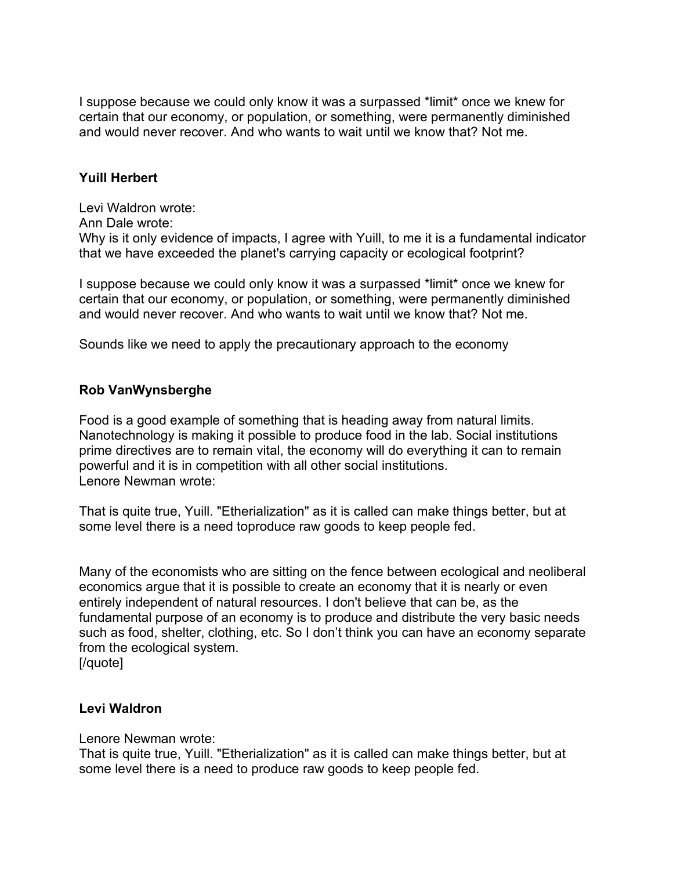I suppose because we could only know it was a surpassed \*limit\* once we knew for certain that our economy, or population, or something, were permanently diminished and would never recover. And who wants to wait until we know that? Not me.

## **Yuill Herbert**

Levi Waldron wrote:

Ann Dale wrote:

Why is it only evidence of impacts, I agree with Yuill, to me it is a fundamental indicator that we have exceeded the planet's carrying capacity or ecological footprint?

I suppose because we could only know it was a surpassed \*limit\* once we knew for certain that our economy, or population, or something, were permanently diminished and would never recover. And who wants to wait until we know that? Not me.

Sounds like we need to apply the precautionary approach to the economy

#### **Rob VanWynsberghe**

Food is a good example of something that is heading away from natural limits. Nanotechnology is making it possible to produce food in the lab. Social institutions prime directives are to remain vital, the economy will do everything it can to remain powerful and it is in competition with all other social institutions. Lenore Newman wrote:

That is quite true, Yuill. "Etherialization" as it is called can make things better, but at some level there is a need toproduce raw goods to keep people fed.

Many of the economists who are sitting on the fence between ecological and neoliberal economics argue that it is possible to create an economy that it is nearly or even entirely independent of natural resources. I don't believe that can be, as the fundamental purpose of an economy is to produce and distribute the very basic needs such as food, shelter, clothing, etc. So I don't think you can have an economy separate from the ecological system.

[/quote]

#### **Levi Waldron**

Lenore Newman wrote:

That is quite true, Yuill. "Etherialization" as it is called can make things better, but at some level there is a need to produce raw goods to keep people fed.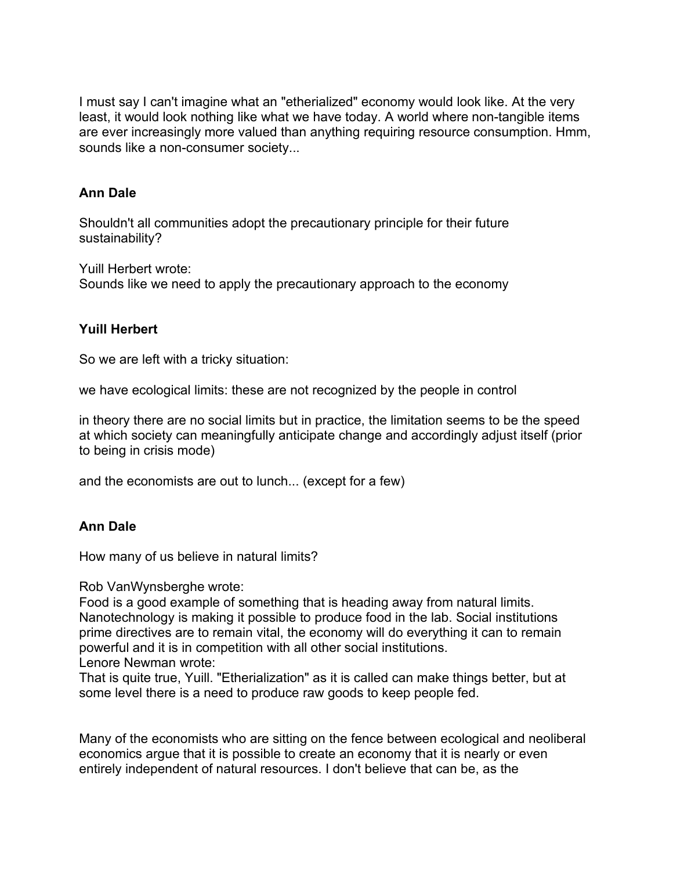I must say I can't imagine what an "etherialized" economy would look like. At the very least, it would look nothing like what we have today. A world where non-tangible items are ever increasingly more valued than anything requiring resource consumption. Hmm, sounds like a non-consumer society...

## **Ann Dale**

Shouldn't all communities adopt the precautionary principle for their future sustainability?

Yuill Herbert wrote:

Sounds like we need to apply the precautionary approach to the economy

# **Yuill Herbert**

So we are left with a tricky situation:

we have ecological limits: these are not recognized by the people in control

in theory there are no social limits but in practice, the limitation seems to be the speed at which society can meaningfully anticipate change and accordingly adjust itself (prior to being in crisis mode)

and the economists are out to lunch... (except for a few)

# **Ann Dale**

How many of us believe in natural limits?

Rob VanWynsberghe wrote:

Food is a good example of something that is heading away from natural limits. Nanotechnology is making it possible to produce food in the lab. Social institutions prime directives are to remain vital, the economy will do everything it can to remain powerful and it is in competition with all other social institutions. Lenore Newman wrote:

That is quite true, Yuill. "Etherialization" as it is called can make things better, but at some level there is a need to produce raw goods to keep people fed.

Many of the economists who are sitting on the fence between ecological and neoliberal economics argue that it is possible to create an economy that it is nearly or even entirely independent of natural resources. I don't believe that can be, as the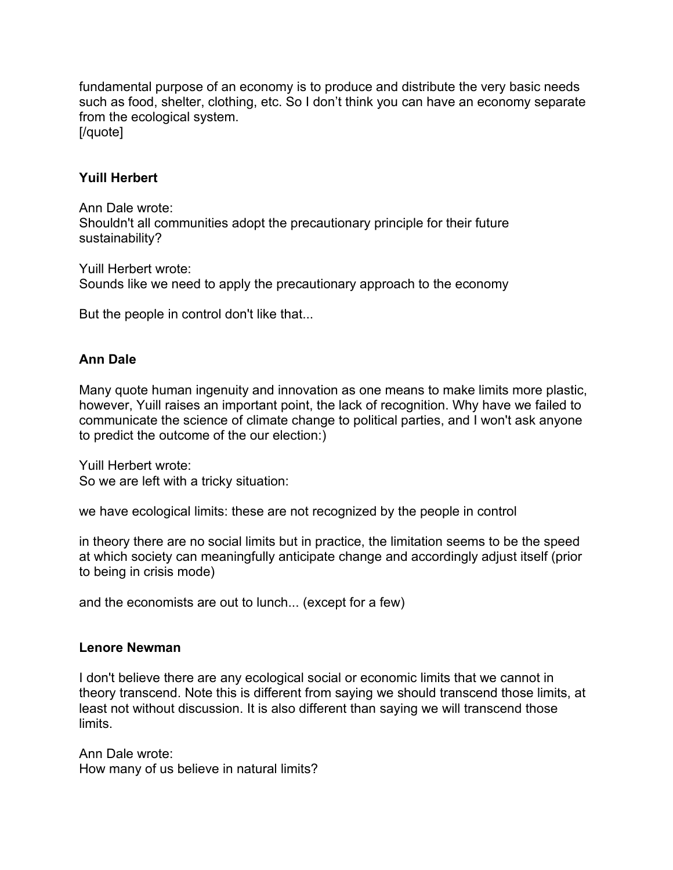fundamental purpose of an economy is to produce and distribute the very basic needs such as food, shelter, clothing, etc. So I don't think you can have an economy separate from the ecological system. [/quote]

## **Yuill Herbert**

Ann Dale wrote: Shouldn't all communities adopt the precautionary principle for their future sustainability?

Yuill Herbert wrote: Sounds like we need to apply the precautionary approach to the economy

But the people in control don't like that...

# **Ann Dale**

Many quote human ingenuity and innovation as one means to make limits more plastic, however, Yuill raises an important point, the lack of recognition. Why have we failed to communicate the science of climate change to political parties, and I won't ask anyone to predict the outcome of the our election:)

Yuill Herbert wrote: So we are left with a tricky situation:

we have ecological limits: these are not recognized by the people in control

in theory there are no social limits but in practice, the limitation seems to be the speed at which society can meaningfully anticipate change and accordingly adjust itself (prior to being in crisis mode)

and the economists are out to lunch... (except for a few)

## **Lenore Newman**

I don't believe there are any ecological social or economic limits that we cannot in theory transcend. Note this is different from saying we should transcend those limits, at least not without discussion. It is also different than saying we will transcend those limits.

Ann Dale wrote: How many of us believe in natural limits?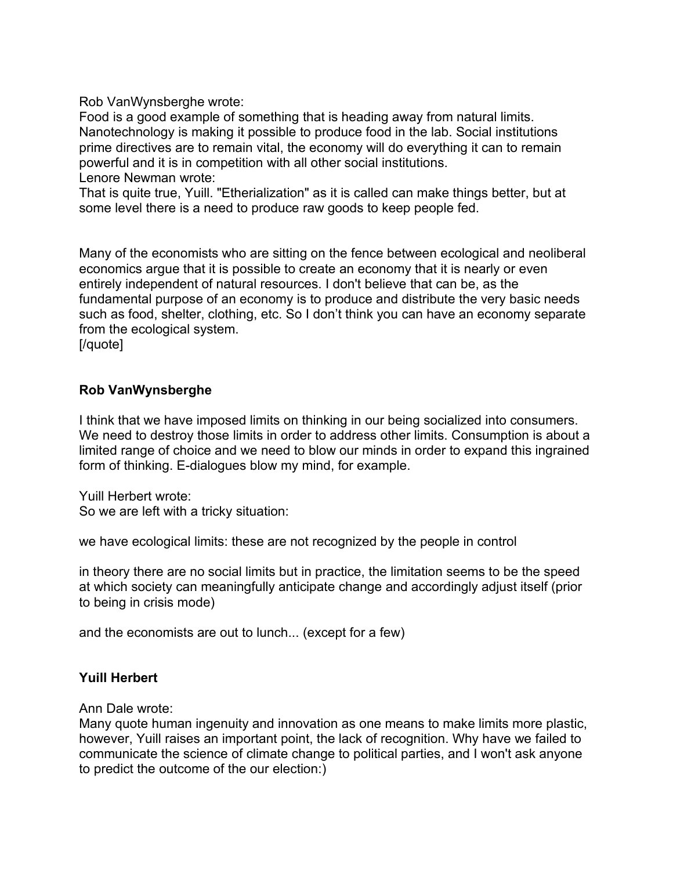Rob VanWynsberghe wrote:

Food is a good example of something that is heading away from natural limits. Nanotechnology is making it possible to produce food in the lab. Social institutions prime directives are to remain vital, the economy will do everything it can to remain powerful and it is in competition with all other social institutions. Lenore Newman wrote:

That is quite true, Yuill. "Etherialization" as it is called can make things better, but at some level there is a need to produce raw goods to keep people fed.

Many of the economists who are sitting on the fence between ecological and neoliberal economics argue that it is possible to create an economy that it is nearly or even entirely independent of natural resources. I don't believe that can be, as the fundamental purpose of an economy is to produce and distribute the very basic needs such as food, shelter, clothing, etc. So I don't think you can have an economy separate from the ecological system.

[/quote]

# **Rob VanWynsberghe**

I think that we have imposed limits on thinking in our being socialized into consumers. We need to destroy those limits in order to address other limits. Consumption is about a limited range of choice and we need to blow our minds in order to expand this ingrained form of thinking. E-dialogues blow my mind, for example.

Yuill Herbert wrote: So we are left with a tricky situation:

we have ecological limits: these are not recognized by the people in control

in theory there are no social limits but in practice, the limitation seems to be the speed at which society can meaningfully anticipate change and accordingly adjust itself (prior to being in crisis mode)

and the economists are out to lunch... (except for a few)

## **Yuill Herbert**

Ann Dale wrote:

Many quote human ingenuity and innovation as one means to make limits more plastic, however, Yuill raises an important point, the lack of recognition. Why have we failed to communicate the science of climate change to political parties, and I won't ask anyone to predict the outcome of the our election:)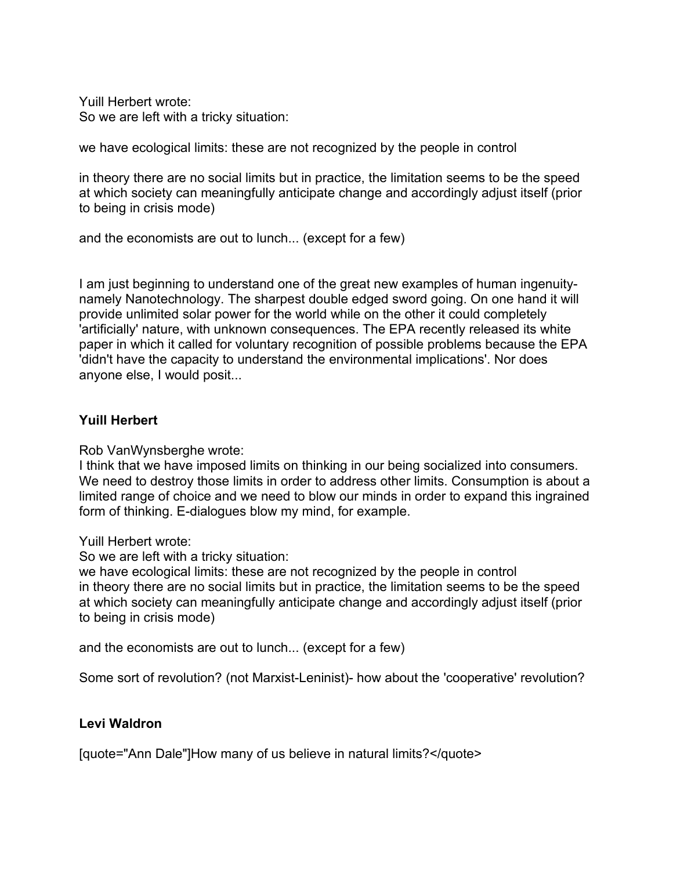Yuill Herbert wrote: So we are left with a tricky situation:

we have ecological limits: these are not recognized by the people in control

in theory there are no social limits but in practice, the limitation seems to be the speed at which society can meaningfully anticipate change and accordingly adjust itself (prior to being in crisis mode)

and the economists are out to lunch... (except for a few)

I am just beginning to understand one of the great new examples of human ingenuitynamely Nanotechnology. The sharpest double edged sword going. On one hand it will provide unlimited solar power for the world while on the other it could completely 'artificially' nature, with unknown consequences. The EPA recently released its white paper in which it called for voluntary recognition of possible problems because the EPA 'didn't have the capacity to understand the environmental implications'. Nor does anyone else, I would posit...

# **Yuill Herbert**

Rob VanWynsberghe wrote:

I think that we have imposed limits on thinking in our being socialized into consumers. We need to destroy those limits in order to address other limits. Consumption is about a limited range of choice and we need to blow our minds in order to expand this ingrained form of thinking. E-dialogues blow my mind, for example.

Yuill Herbert wrote:

So we are left with a tricky situation:

we have ecological limits: these are not recognized by the people in control in theory there are no social limits but in practice, the limitation seems to be the speed at which society can meaningfully anticipate change and accordingly adjust itself (prior to being in crisis mode)

and the economists are out to lunch... (except for a few)

Some sort of revolution? (not Marxist-Leninist)- how about the 'cooperative' revolution?

# **Levi Waldron**

[quote="Ann Dale"]How many of us believe in natural limits?</quote>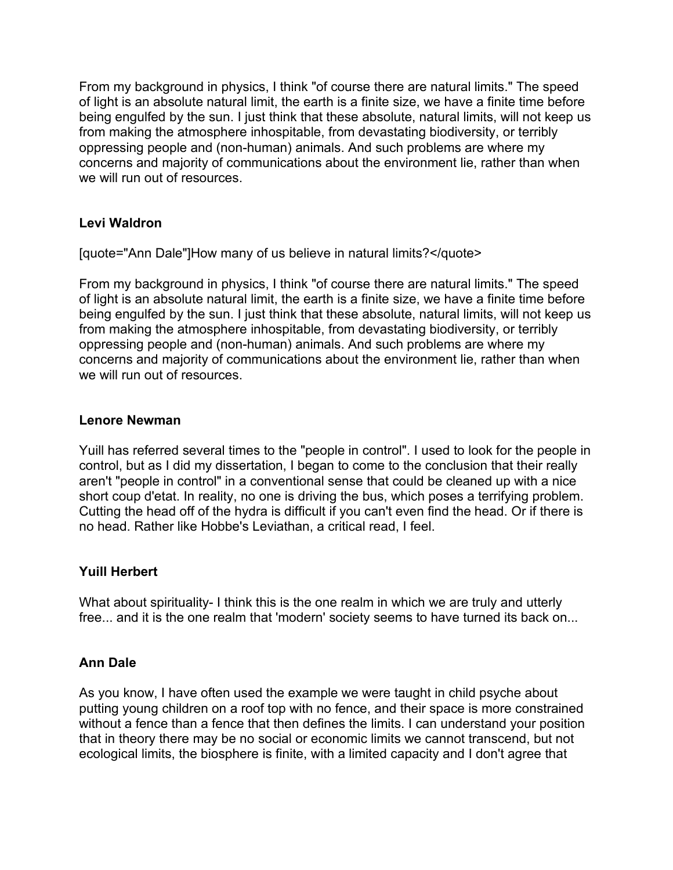From my background in physics, I think "of course there are natural limits." The speed of light is an absolute natural limit, the earth is a finite size, we have a finite time before being engulfed by the sun. I just think that these absolute, natural limits, will not keep us from making the atmosphere inhospitable, from devastating biodiversity, or terribly oppressing people and (non-human) animals. And such problems are where my concerns and majority of communications about the environment lie, rather than when we will run out of resources

# **Levi Waldron**

[quote="Ann Dale"]How many of us believe in natural limits?</quote>

From my background in physics, I think "of course there are natural limits." The speed of light is an absolute natural limit, the earth is a finite size, we have a finite time before being engulfed by the sun. I just think that these absolute, natural limits, will not keep us from making the atmosphere inhospitable, from devastating biodiversity, or terribly oppressing people and (non-human) animals. And such problems are where my concerns and majority of communications about the environment lie, rather than when we will run out of resources.

#### **Lenore Newman**

Yuill has referred several times to the "people in control". I used to look for the people in control, but as I did my dissertation, I began to come to the conclusion that their really aren't "people in control" in a conventional sense that could be cleaned up with a nice short coup d'etat. In reality, no one is driving the bus, which poses a terrifying problem. Cutting the head off of the hydra is difficult if you can't even find the head. Or if there is no head. Rather like Hobbe's Leviathan, a critical read, I feel.

## **Yuill Herbert**

What about spirituality- I think this is the one realm in which we are truly and utterly free... and it is the one realm that 'modern' society seems to have turned its back on...

## **Ann Dale**

As you know, I have often used the example we were taught in child psyche about putting young children on a roof top with no fence, and their space is more constrained without a fence than a fence that then defines the limits. I can understand your position that in theory there may be no social or economic limits we cannot transcend, but not ecological limits, the biosphere is finite, with a limited capacity and I don't agree that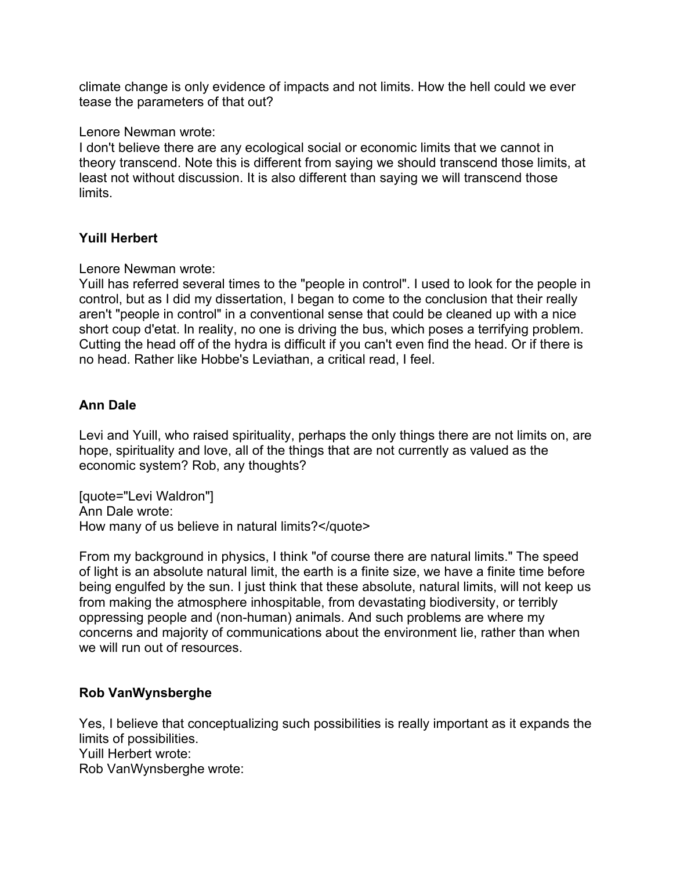climate change is only evidence of impacts and not limits. How the hell could we ever tease the parameters of that out?

Lenore Newman wrote:

I don't believe there are any ecological social or economic limits that we cannot in theory transcend. Note this is different from saying we should transcend those limits, at least not without discussion. It is also different than saying we will transcend those limits.

# **Yuill Herbert**

Lenore Newman wrote:

Yuill has referred several times to the "people in control". I used to look for the people in control, but as I did my dissertation, I began to come to the conclusion that their really aren't "people in control" in a conventional sense that could be cleaned up with a nice short coup d'etat. In reality, no one is driving the bus, which poses a terrifying problem. Cutting the head off of the hydra is difficult if you can't even find the head. Or if there is no head. Rather like Hobbe's Leviathan, a critical read, I feel.

# **Ann Dale**

Levi and Yuill, who raised spirituality, perhaps the only things there are not limits on, are hope, spirituality and love, all of the things that are not currently as valued as the economic system? Rob, any thoughts?

[quote="Levi Waldron"] Ann Dale wrote: How many of us believe in natural limits?</quote>

From my background in physics, I think "of course there are natural limits." The speed of light is an absolute natural limit, the earth is a finite size, we have a finite time before being engulfed by the sun. I just think that these absolute, natural limits, will not keep us from making the atmosphere inhospitable, from devastating biodiversity, or terribly oppressing people and (non-human) animals. And such problems are where my concerns and majority of communications about the environment lie, rather than when we will run out of resources.

## **Rob VanWynsberghe**

Yes, I believe that conceptualizing such possibilities is really important as it expands the limits of possibilities. Yuill Herbert wrote: Rob VanWynsberghe wrote: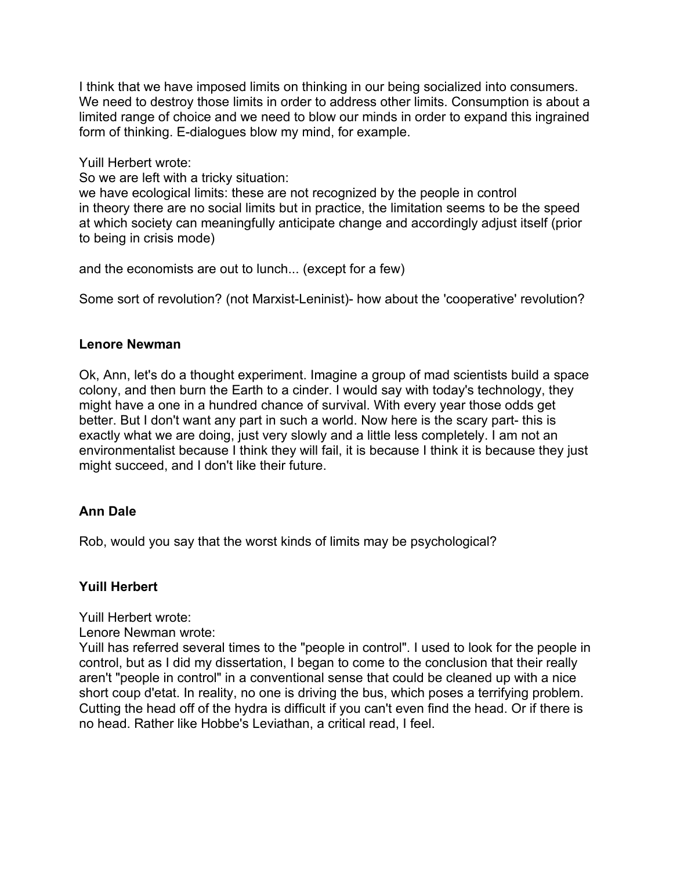I think that we have imposed limits on thinking in our being socialized into consumers. We need to destroy those limits in order to address other limits. Consumption is about a limited range of choice and we need to blow our minds in order to expand this ingrained form of thinking. E-dialogues blow my mind, for example.

Yuill Herbert wrote:

So we are left with a tricky situation:

we have ecological limits: these are not recognized by the people in control in theory there are no social limits but in practice, the limitation seems to be the speed at which society can meaningfully anticipate change and accordingly adjust itself (prior to being in crisis mode)

and the economists are out to lunch... (except for a few)

Some sort of revolution? (not Marxist-Leninist)- how about the 'cooperative' revolution?

# **Lenore Newman**

Ok, Ann, let's do a thought experiment. Imagine a group of mad scientists build a space colony, and then burn the Earth to a cinder. I would say with today's technology, they might have a one in a hundred chance of survival. With every year those odds get better. But I don't want any part in such a world. Now here is the scary part- this is exactly what we are doing, just very slowly and a little less completely. I am not an environmentalist because I think they will fail, it is because I think it is because they just might succeed, and I don't like their future.

# **Ann Dale**

Rob, would you say that the worst kinds of limits may be psychological?

# **Yuill Herbert**

Yuill Herbert wrote:

Lenore Newman wrote:

Yuill has referred several times to the "people in control". I used to look for the people in control, but as I did my dissertation, I began to come to the conclusion that their really aren't "people in control" in a conventional sense that could be cleaned up with a nice short coup d'etat. In reality, no one is driving the bus, which poses a terrifying problem. Cutting the head off of the hydra is difficult if you can't even find the head. Or if there is no head. Rather like Hobbe's Leviathan, a critical read, I feel.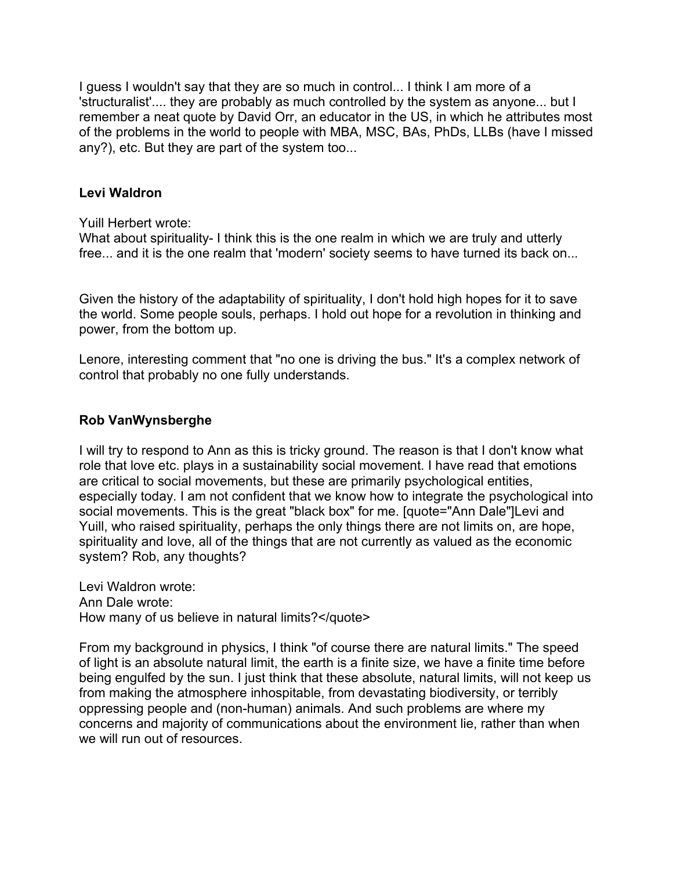I guess I wouldn't say that they are so much in control... I think I am more of a 'structuralist'.... they are probably as much controlled by the system as anyone... but I remember a neat quote by David Orr, an educator in the US, in which he attributes most of the problems in the world to people with MBA, MSC, BAs, PhDs, LLBs (have I missed any?), etc. But they are part of the system too...

## **Levi Waldron**

Yuill Herbert wrote:

What about spirituality- I think this is the one realm in which we are truly and utterly free... and it is the one realm that 'modern' society seems to have turned its back on...

Given the history of the adaptability of spirituality, I don't hold high hopes for it to save the world. Some people souls, perhaps. I hold out hope for a revolution in thinking and power, from the bottom up.

Lenore, interesting comment that "no one is driving the bus." It's a complex network of control that probably no one fully understands.

## **Rob VanWynsberghe**

I will try to respond to Ann as this is tricky ground. The reason is that I don't know what role that love etc. plays in a sustainability social movement. I have read that emotions are critical to social movements, but these are primarily psychological entities, especially today. I am not confident that we know how to integrate the psychological into social movements. This is the great "black box" for me. [quote="Ann Dale"]Levi and Yuill, who raised spirituality, perhaps the only things there are not limits on, are hope, spirituality and love, all of the things that are not currently as valued as the economic system? Rob, any thoughts?

Levi Waldron wrote: Ann Dale wrote: How many of us believe in natural limits?</quote>

From my background in physics, I think "of course there are natural limits." The speed of light is an absolute natural limit, the earth is a finite size, we have a finite time before being engulfed by the sun. I just think that these absolute, natural limits, will not keep us from making the atmosphere inhospitable, from devastating biodiversity, or terribly oppressing people and (non-human) animals. And such problems are where my concerns and majority of communications about the environment lie, rather than when we will run out of resources.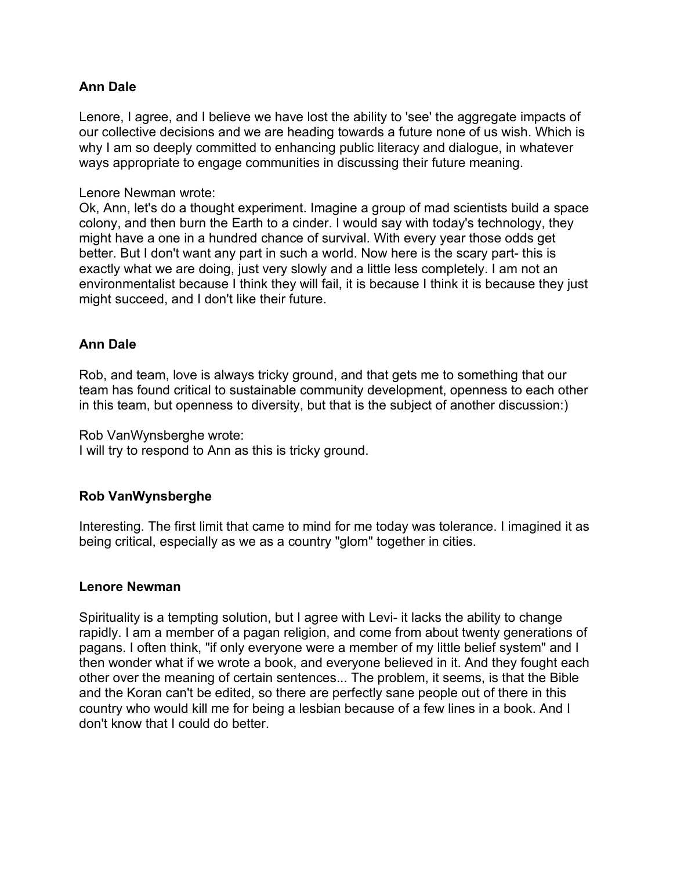Lenore, I agree, and I believe we have lost the ability to 'see' the aggregate impacts of our collective decisions and we are heading towards a future none of us wish. Which is why I am so deeply committed to enhancing public literacy and dialogue, in whatever ways appropriate to engage communities in discussing their future meaning.

#### Lenore Newman wrote:

Ok, Ann, let's do a thought experiment. Imagine a group of mad scientists build a space colony, and then burn the Earth to a cinder. I would say with today's technology, they might have a one in a hundred chance of survival. With every year those odds get better. But I don't want any part in such a world. Now here is the scary part- this is exactly what we are doing, just very slowly and a little less completely. I am not an environmentalist because I think they will fail, it is because I think it is because they just might succeed, and I don't like their future.

# **Ann Dale**

Rob, and team, love is always tricky ground, and that gets me to something that our team has found critical to sustainable community development, openness to each other in this team, but openness to diversity, but that is the subject of another discussion:)

Rob VanWynsberghe wrote:

I will try to respond to Ann as this is tricky ground.

## **Rob VanWynsberghe**

Interesting. The first limit that came to mind for me today was tolerance. I imagined it as being critical, especially as we as a country "glom" together in cities.

#### **Lenore Newman**

Spirituality is a tempting solution, but I agree with Levi- it lacks the ability to change rapidly. I am a member of a pagan religion, and come from about twenty generations of pagans. I often think, "if only everyone were a member of my little belief system" and I then wonder what if we wrote a book, and everyone believed in it. And they fought each other over the meaning of certain sentences... The problem, it seems, is that the Bible and the Koran can't be edited, so there are perfectly sane people out of there in this country who would kill me for being a lesbian because of a few lines in a book. And I don't know that I could do better.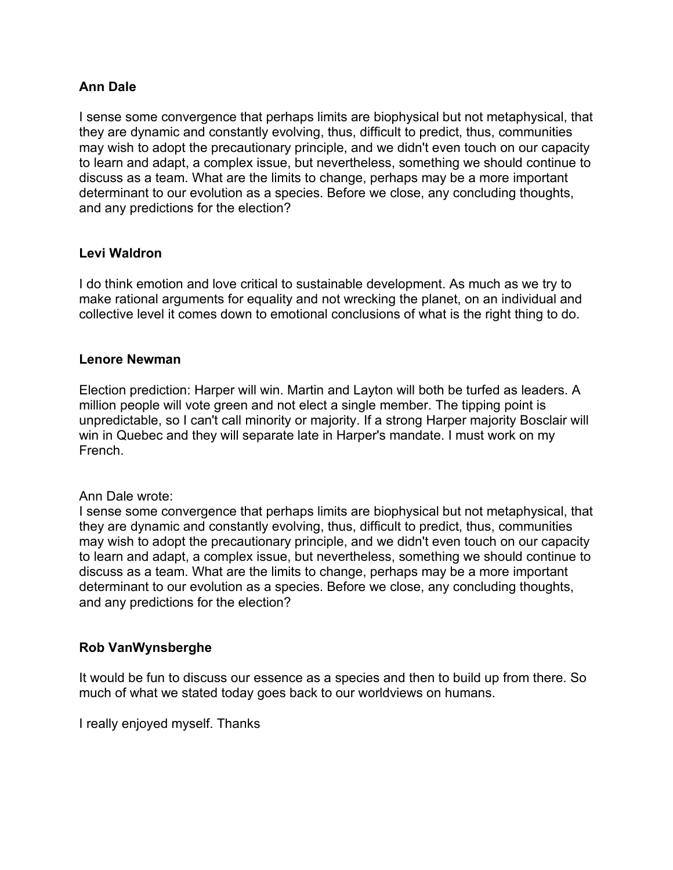I sense some convergence that perhaps limits are biophysical but not metaphysical, that they are dynamic and constantly evolving, thus, difficult to predict, thus, communities may wish to adopt the precautionary principle, and we didn't even touch on our capacity to learn and adapt, a complex issue, but nevertheless, something we should continue to discuss as a team. What are the limits to change, perhaps may be a more important determinant to our evolution as a species. Before we close, any concluding thoughts, and any predictions for the election?

# **Levi Waldron**

I do think emotion and love critical to sustainable development. As much as we try to make rational arguments for equality and not wrecking the planet, on an individual and collective level it comes down to emotional conclusions of what is the right thing to do.

#### **Lenore Newman**

Election prediction: Harper will win. Martin and Layton will both be turfed as leaders. A million people will vote green and not elect a single member. The tipping point is unpredictable, so I can't call minority or majority. If a strong Harper majority Bosclair will win in Quebec and they will separate late in Harper's mandate. I must work on my French.

## Ann Dale wrote:

I sense some convergence that perhaps limits are biophysical but not metaphysical, that they are dynamic and constantly evolving, thus, difficult to predict, thus, communities may wish to adopt the precautionary principle, and we didn't even touch on our capacity to learn and adapt, a complex issue, but nevertheless, something we should continue to discuss as a team. What are the limits to change, perhaps may be a more important determinant to our evolution as a species. Before we close, any concluding thoughts, and any predictions for the election?

## **Rob VanWynsberghe**

It would be fun to discuss our essence as a species and then to build up from there. So much of what we stated today goes back to our worldviews on humans.

I really enjoyed myself. Thanks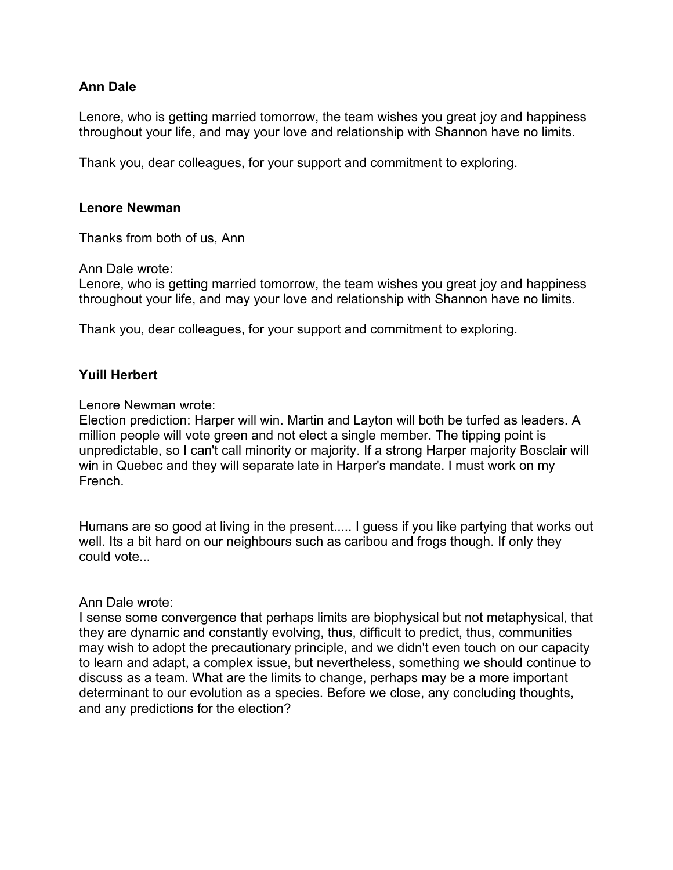Lenore, who is getting married tomorrow, the team wishes you great joy and happiness throughout your life, and may your love and relationship with Shannon have no limits.

Thank you, dear colleagues, for your support and commitment to exploring.

#### **Lenore Newman**

Thanks from both of us, Ann

Ann Dale wrote:

Lenore, who is getting married tomorrow, the team wishes you great joy and happiness throughout your life, and may your love and relationship with Shannon have no limits.

Thank you, dear colleagues, for your support and commitment to exploring.

## **Yuill Herbert**

Lenore Newman wrote:

Election prediction: Harper will win. Martin and Layton will both be turfed as leaders. A million people will vote green and not elect a single member. The tipping point is unpredictable, so I can't call minority or majority. If a strong Harper majority Bosclair will win in Quebec and they will separate late in Harper's mandate. I must work on my French.

Humans are so good at living in the present..... I guess if you like partying that works out well. Its a bit hard on our neighbours such as caribou and frogs though. If only they could vote...

#### Ann Dale wrote:

I sense some convergence that perhaps limits are biophysical but not metaphysical, that they are dynamic and constantly evolving, thus, difficult to predict, thus, communities may wish to adopt the precautionary principle, and we didn't even touch on our capacity to learn and adapt, a complex issue, but nevertheless, something we should continue to discuss as a team. What are the limits to change, perhaps may be a more important determinant to our evolution as a species. Before we close, any concluding thoughts, and any predictions for the election?